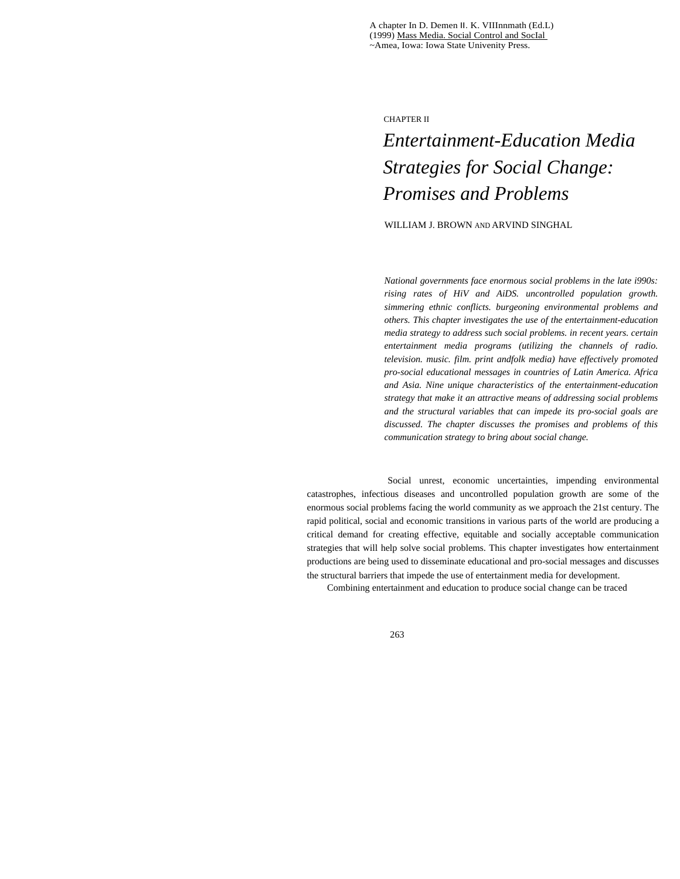A chapter In D. Demen II. K. VIIInnmath (Ed.L) (1999) Mass Media. Social Control and SocIal ~Amea, Iowa: Iowa State Univenity Press.

CHAPTER II

# *Entertainment-Education Media Strategies for Social Change: Promises and Problems*

WILLIAM J. BROWN AND ARVIND SINGHAL

*National governments face enormous social problems in the late i990s: rising rates of HiV and AiDS. uncontrolled population growth. simmering ethnic conflicts. burgeoning environmental problems and others. This chapter investigates the use of the entertainment-education media strategy to address such social problems. in recent years. certain entertainment media programs (utilizing the channels of radio. television. music. film. print andfolk media) have effectively promoted pro-social educational messages in countries of Latin America. Africa and Asia. Nine unique characteristics of the entertainment-education strategy that make it an attractive means of addressing social problems and the structural variables that can impede its pro-social goals are discussed. The chapter discusses the promises and problems of this communication strategy to bring about social change.* 

Social unrest, economic uncertainties, impending environmental catastrophes, infectious diseases and uncontrolled population growth are some of the enormous social problems facing the world community as we approach the 21st century. The rapid political, social and economic transitions in various parts of the world are producing a critical demand for creating effective, equitable and socially acceptable communication strategies that will help solve social problems. This chapter investigates how entertainment productions are being used to disseminate educational and pro-social messages and discusses the structural barriers that impede the use of entertainment media for development.

Combining entertainment and education to produce social change can be traced

263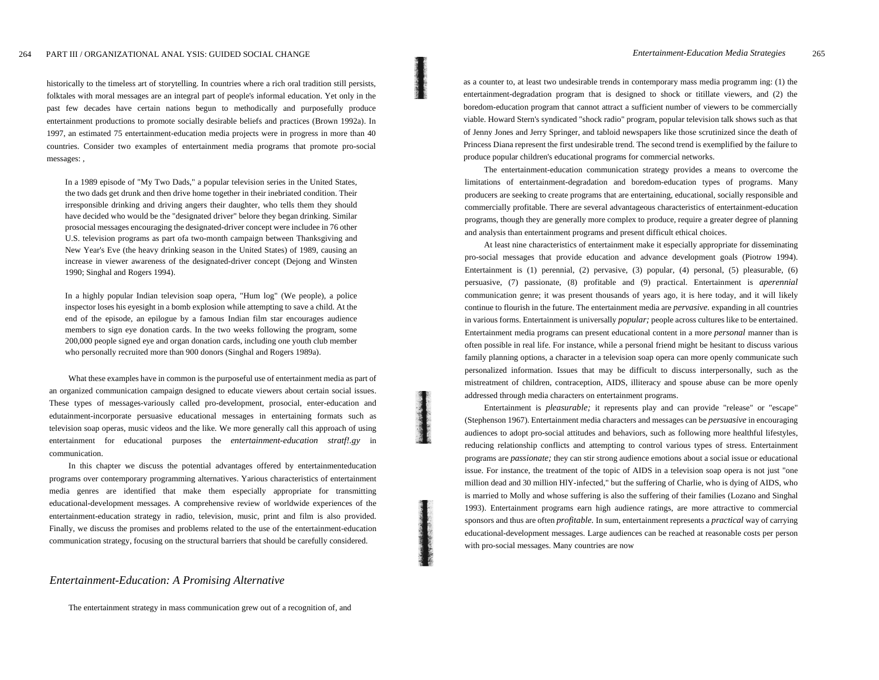historically to the timeless art of storytelling. In countries where a rich oral tradition still persists, folktales with moral messages are an integral part of people's informal education. Yet only in the past few decades have certain nations begun to methodically and purposefully produce entertainment productions to promote socially desirable beliefs and practices (Brown 1992a). In 1997, an estimated 75 entertainment-education media projects were in progress in more than 40 countries. Consider two examples of entertainment media programs that promote pro-social messages: ,

In a 1989 episode of "My Two Dads," a popular television series in the United States, the two dads get drunk and then drive home together in their inebriated condition. Their irresponsible drinking and driving angers their daughter, who tells them they should have decided who would be the "designated driver" belore they began drinking. Similar prosocial messages encouraging the designated-driver concept were includee in 76 other U.S. television programs as part ofa two-month campaign between Thanksgiving and New Year's Eve (the heavy drinking season in the United States) of 1989, causing an increase in viewer awareness of the designated-driver concept (Dejong and Winsten 1990; Singhal and Rogers 1994).

In a highly popular Indian television soap opera, "Hum log" (We people), a police inspector loses his eyesight in a bomb explosion while attempting to save a child. At the end of the episode, an epilogue by a famous Indian film star encourages audience members to sign eye donation cards. In the two weeks following the program, some 200,000 people signed eye and organ donation cards, including one youth club member who personally recruited more than 900 donors (Singhal and Rogers 1989a).

What these examples have in common is the purposeful use of entertainment media as part of an organized communication campaign designed to educate viewers about certain social issues. These types of messages-variously called pro-development, prosocial, enter-education and edutainment-incorporate persuasive educational messages in entertaining formats such as television soap operas, music videos and the like. We more generally call this approach of using entertainment for educational purposes the *entertainment-education stratf!.gy* in communication.

In this chapter we discuss the potential advantages offered by entertainmenteducation programs over contemporary programming alternatives. Yarious characteristics of entertainment media genres are identified that make them especially appropriate for transmitting educational-development messages. A comprehensive review of worldwide experiences of the entertainment-education strategy in radio, television, music, print and film is also provided. Finally, we discuss the promises and problems related to the use of the entertainment-education communication strategy, focusing on the structural barriers that should be carefully considered.

#### *Entertainment-Education: A Promising Alternative*

The entertainment strategy in mass communication grew out of a recognition of, and

as a counter to, at least two undesirable trends in contemporary mass media programm ing: (1) the entertainment-degradation program that is designed to shock or titillate viewers, and (2) the boredom-education program that cannot attract a sufficient number of viewers to be commercially viable. Howard Stern's syndicated "shock radio" program, popular television talk shows such as that of Jenny Jones and Jerry Springer, and tabloid newspapers like those scrutinized since the death of Princess Diana represent the first undesirable trend. The second trend is exemplified by the failure to produce popular children's educational programs for commercial networks.

The entertainment-education communication strategy provides a means to overcome the limitations of entertainment-degradation and boredom-education types of programs. Many producers are seeking to create programs that are entertaining, educational, socially responsible and commercially profitable. There are several advantageous characteristics of entertainment-education programs, though they are generally more complex to produce, require a greater degree of planning and analysis than entertainment programs and present difficult ethical choices.

At least nine characteristics of entertainment make it especially appropriate for disseminating pro-social messages that provide education and advance development goals (Piotrow 1994). Entertainment is (1) perennial, (2) pervasive, (3) popular, (4) personal, (5) pleasurable, (6) persuasive, (7) passionate, (8) profitable and (9) practical. Entertainment is *aperennial*  communication genre; it was present thousands of years ago, it is here today, and it will likely continue to flourish in the future. The entertainment media are *pervasive.* expanding in all countries in various forms. Entertainment is universally *popular;* people across cultures like to be entertained. Entertainment media programs can present educational content in a more *personal* manner than is often possible in real life. For instance, while a personal friend might be hesitant to discuss various family planning options, a character in a television soap opera can more openly communicate such personalized information. Issues that may be difficult to discuss interpersonally, such as the mistreatment of children, contraception, AIDS, illiteracy and spouse abuse can be more openly addressed through media characters on entertainment programs.

Entertainment is *pleasurable;* it represents play and can provide "release" or "escape" (Stephenson 1967). Entertainment media characters and messages can be *persuasive* in encouraging audiences to adopt pro-social attitudes and behaviors, such as following more healthful lifestyles, reducing relationship conflicts and attempting to control various types of stress. Entertainment programs are *passionate;* they can stir strong audience emotions about a social issue or educational issue. For instance, the treatment of the topic of AIDS in a television soap opera is not just "one million dead and 30 million HlY-infected," but the suffering of Charlie, who is dying of AIDS, who is married to Molly and whose suffering is also the suffering of their families (Lozano and Singhal 1993). Entertainment programs earn high audience ratings, are more attractive to commercial sponsors and thus are often *profitable.* In sum, entertainment represents a *practical* way of carrying educational-development messages. Large audiences can be reached at reasonable costs per person with pro-social messages. Many countries are now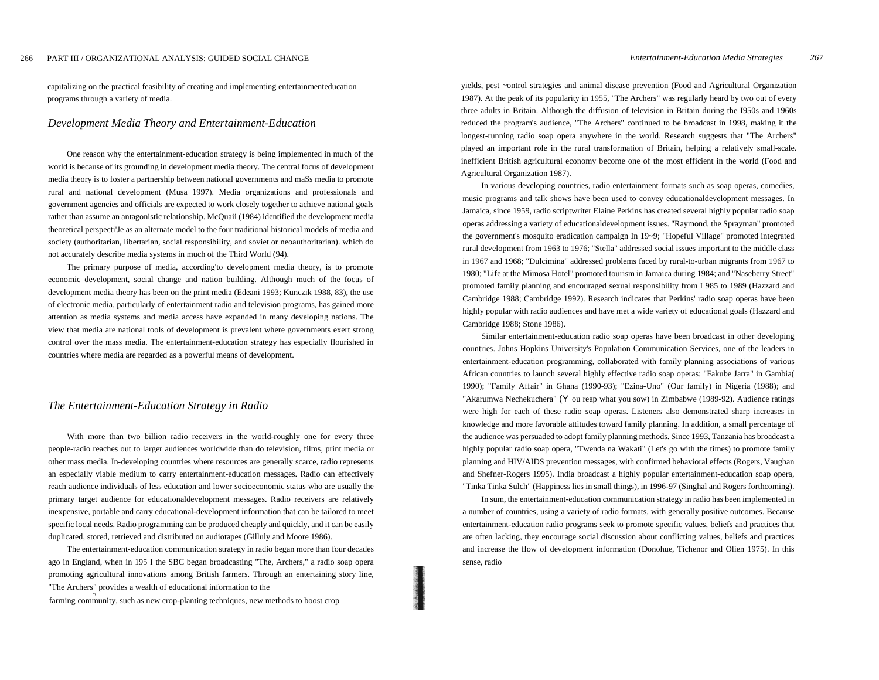capitalizing on the practical feasibility of creating and implementing entertainmenteducation programs through a variety of media.

## *Development Media Theory and Entertainment-Education*

One reason why the entertainment-education strategy is being implemented in much of the world is because of its grounding in development media theory. The central focus of development media theory is to foster a partnership between national governments and maSs media to promote rural and national development (Musa 1997). Media organizations and professionals and government agencies and officials are expected to work closely together to achieve national goals rather than assume an antagonistic relationship. McQuaii (1984) identified the development media theoretical perspecti'Je as an alternate model to the four traditional historical models of media and society (authoritarian, libertarian, social responsibility, and soviet or neoauthoritarian). which do not accurately describe media systems in much of the Third World (94).

The primary purpose of media, according'to development media theory, is to promote economic development, social change and nation building. Although much of the focus of development media theory has been on the print media (Edeani 1993; Kunczik 1988, 83), the use of electronic media, particularly of entertainment radio and television programs, has gained more attention as media systems and media access have expanded in many developing nations. The view that media are national tools of development is prevalent where governments exert strong control over the mass media. The entertainment-education strategy has especially flourished in countries where media are regarded as a powerful means of development.

### *The Entertainment-Education Strategy in Radio*

With more than two billion radio receivers in the world-roughly one for every three people-radio reaches out to larger audiences worldwide than do television, films, print media or other mass media. In-developing countries where resources are generally scarce, radio represents an especially viable medium to carry entertainment-education messages. Radio can effectively reach audience individuals of less education and lower socioeconomic status who are usually the primary target audience for educationaldevelopment messages. Radio receivers are relatively inexpensive, portable and carry educational-development information that can be tailored to meet specific local needs. Radio programming can be produced cheaply and quickly, and it can be easily duplicated, stored, retrieved and distributed on audiotapes (Gilluly and Moore 1986).

The entertainment-education communication strategy in radio began more than four decades ago in England, when in 195 I the SBC began broadcasting "The, Archers," a radio soap opera promoting agricultural innovations among British farmers. Through an entertaining story line, "The Archers" provides a wealth of educational information to the

farming community, such as new crop-planting techniques, new methods to boost crop

yields, pest ~ontrol strategies and animal disease prevention (Food and Agricultural Organization 1987). At the peak of its popularity in 1955, "The Archers" was regularly heard by two out of every three adults in Britain. Although the diffusion of television in Britain during the I950s and 1960s reduced the program's audience, "The Archers" continued to be broadcast in 1998, making it the longest-running radio soap opera anywhere in the world. Research suggests that "The Archers" played an important role in the rural transformation of Britain, helping a relatively small-scale. inefficient British agricultural economy become one of the most efficient in the world (Food and Agricultural Organization 1987).

In various developing countries, radio entertainment formats such as soap operas, comedies, music programs and talk shows have been used to convey educationaldevelopment messages. In Jamaica, since 1959, radio scriptwriter Elaine Perkins has created several highly popular radio soap operas addressing a variety of educationaldevelopment issues. "Raymond, the Sprayman" promoted the government's mosquito eradication campaign In 19~9; "Hopeful Village" promoted integrated rural development from 1963 to 1976; "Stella" addressed social issues important to the middle class in 1967 and 1968; "Dulcimina" addressed problems faced by rural-to-urban migrants from 1967 to 1980; "Life at the Mimosa Hotel" promoted tourism in Jamaica during 1984; and "Naseberry Street" promoted family planning and encouraged sexual responsibility from I 985 to 1989 (Hazzard and Cambridge 1988; Cambridge 1992). Research indicates that Perkins' radio soap operas have been highly popular with radio audiences and have met a wide variety of educational goals (Hazzard and Cambridge 1988; Stone 1986).

Similar entertainment-education radio soap operas have been broadcast in other developing countries. Johns Hopkins University's Population Communication Services, one of the leaders in entertainment-education programming, collaborated with family planning associations of various African countries to launch several highly effective radio soap operas: "Fakube Jarra" in Gambia( 1990); "Family Affair" in Ghana (1990-93); "Ezina-Uno" (Our family) in Nigeria (1988); and "Akarumwa Nechekuchera" (Y ou reap what you sow) in Zimbabwe (1989-92). Audience ratings were high for each of these radio soap operas. Listeners also demonstrated sharp increases in knowledge and more favorable attitudes toward family planning. In addition, a small percentage of the audience was persuaded to adopt family planning methods. Since 1993, Tanzania has broadcast a highly popular radio soap opera, "Twenda na Wakati" (Let's go with the times) to promote family planning and HIV/AIDS prevention messages, with confirmed behavioral effects (Rogers, Vaughan and Shefner-Rogers 1995). India broadcast a highly popular entertainment-education soap opera, "Tinka Tinka Sulch" (Happiness lies in small things), in 1996-97 (Singhal and Rogers forthcoming).

In sum, the entertainment-education communication strategy in radio has been implemented in a number of countries, using a variety of radio formats, with generally positive outcomes. Because entertainment-education radio programs seek to promote specific values, beliefs and practices that are often lacking, they encourage social discussion about conflicting values, beliefs and practices and increase the flow of development information (Donohue, Tichenor and Olien 1975). In this sense, radio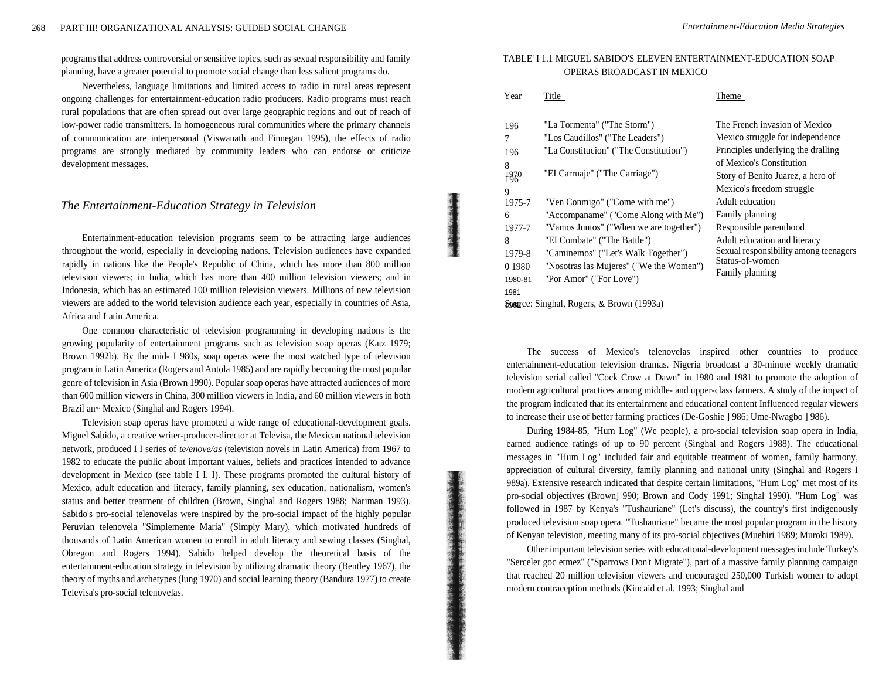programs that address controversial or sensitive topics, such as sexual responsibility and family planning, have a greater potential to promote social change than less salient programs do.

Nevertheless, language limitations and limited access to radio in rural areas represent ongoing challenges for entertainment-education radio producers. Radio programs must reach rural populations that are often spread out over large geographic regions and out of reach of low-power radio transmitters. In homogeneous rural communities where the primary channels of communication are interpersonal (Viswanath and Finnegan 1995), the effects of radio programs are strongly mediated by community leaders who can endorse or criticize development messages.

## *The Entertainment-Education Strategy in Television*

Entertainment-education television programs seem to be attracting large audiences throughout the world, especially in developing nations. Television audiences have expanded rapidly in nations like the People's Republic of China, which has more than 800 million television viewers; in India, which has more than 400 million television viewers; and in Indonesia, which has an estimated 100 million television viewers. Millions of new television viewers are added to the world television audience each year, especially in countries of Asia, Africa and Latin America.

One common characteristic of television programming in developing nations is the growing popularity of entertainment programs such as television soap operas (Katz 1979; Brown 1992b). By the mid- I 980s, soap operas were the most watched type of television program in Latin America (Rogers and Antola 1985) and are rapidly becoming the most popular genre of television in Asia (Brown 1990). Popular soap operas have attracted audiences of more than 600 million viewers in China, 300 million viewers in India, and 60 million viewers in both Brazil an~ Mexico (Singhal and Rogers 1994).

Television soap operas have promoted a wide range of educational-development goals. Miguel Sabido, a creative writer-producer-director at Televisa, the Mexican national television network, produced I I series of *te/enove/as* (television novels in Latin America) from 1967 to 1982 to educate the public about important values, beliefs and practices intended to advance development in Mexico (see table I I. I). These programs promoted the cultural history of Mexico, adult education and literacy, family planning, sex education, nationalism, women's status and better treatment of children (Brown, Singhal and Rogers 1988; Nariman 1993). Sabido's pro-social telenovelas were inspired by the pro-social impact of the highly popular Peruvian telenovela "Simplemente Maria" (Simply Mary), which motivated hundreds of thousands of Latin American women to enroll in adult literacy and sewing classes (Singhal, Obregon and Rogers 1994). Sabido helped develop the theoretical basis of the entertainment-education strategy in television by utilizing dramatic theory (Bentley 1967), the theory of myths and archetypes (lung 1970) and social learning theory (Bandura 1977) to create Televisa's pro-social telenovelas.

## TABLE' I 1.1 MIGUEL SABIDO'S ELEVEN ENTERTAINMENT-EDUCATION SOAP OPERAS BROADCAST IN MEXICO

| Year                                      | Title                                   | Theme                                                                       |
|-------------------------------------------|-----------------------------------------|-----------------------------------------------------------------------------|
| 196                                       | "La Tormenta" ("The Storm")             | The French invasion of Mexico                                               |
| 7                                         | "Los Caudillos" ("The Leaders")         | Mexico struggle for independence                                            |
| 196                                       | "La Constitucion" ("The Constitution")  | Principles underlying the dralling                                          |
| 8                                         |                                         | of Mexico's Constitution                                                    |
| $180^{\circ}$                             | "EI Carruaje" ("The Carriage")          | Story of Benito Juarez, a hero of                                           |
| 9                                         |                                         | Mexico's freedom struggle                                                   |
| 1975-7                                    | "Ven Conmigo" ("Come with me")          | Adult education                                                             |
| 6                                         | "Accompaname" ("Come Along with Me")    | Family planning                                                             |
| 1977-7                                    | "Vamos Juntos" ("When we are together") | Responsible parenthood                                                      |
| 8                                         | "EI Combate" ("The Battle")             | Adult education and literacy                                                |
| 1979-8                                    | "Caminemos" ("Let's Walk Together")     | Sexual responsibility among teenagers<br>Status-of-women<br>Family planning |
| 0 1 9 8 0                                 | "Nosotras las Mujeres" ("We the Women") |                                                                             |
| 1980-81                                   | "Por Amor" ("For Love")                 |                                                                             |
| 1981                                      |                                         |                                                                             |
| Sorance: Singhal, Rogers, & Brown (1993a) |                                         |                                                                             |

The success of Mexico's telenovelas inspired other countries to produce entertainment-education television dramas. Nigeria broadcast a 30-minute weekly dramatic television serial called "Cock Crow at Dawn" in 1980 and 1981 to promote the adoption of modern agricultural practices among middle- and upper-class farmers. A study of the impact of the program indicated that its entertainment and educational content Influenced regular viewers to increase their use of better farming practices (De-Goshie ] 986; Ume-Nwagbo ] 986).

During 1984-85, "Hum Log" (We people), a pro-social television soap opera in India, earned audience ratings of up to 90 percent (Singhal and Rogers 1988). The educational messages in "Hum Log" included fair and equitable treatment of women, family harmony, appreciation of cultural diversity, family planning and national unity (Singhal and Rogers I 989a). Extensive research indicated that despite certain limitations, "Hum Log" met most of its pro-social objectives (Brown] 990; Brown and Cody 1991; Singhal 1990). "Hum Log" was followed in 1987 by Kenya's "Tushauriane" (Let's discuss), the country's first indigenously produced television soap opera. "Tushauriane" became the most popular program in the history of Kenyan television, meeting many of its pro-social objectives (Muehiri 1989; Muroki 1989).

Other important television series with educational-development messages include Turkey's "Serceler goc etmez" ("Sparrows Don't Migrate"), part of a massive family planning campaign that reached 20 million television viewers and encouraged 250,000 Turkish women to adopt modern contraception methods (Kincaid ct al. 1993; Singhal and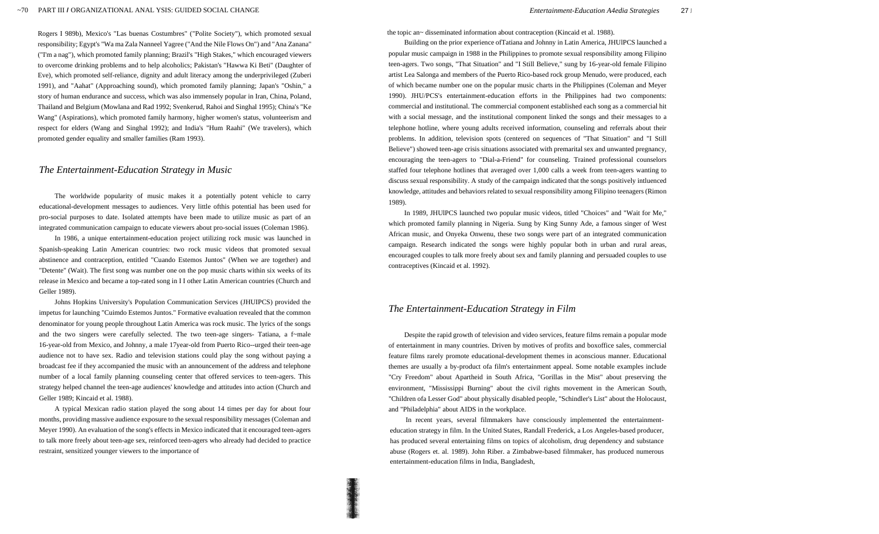Rogers I 989b), Mexico's "Las buenas Costumbres" ("Polite Society"), which promoted sexual responsibility; Egypt's "Wa ma Zala Nanneel Yagree ("And the Nile Flows On") and "Ana Zanana" ("I'm a nag"), which promoted family planning; Brazil's "High Stakes," which encouraged viewers to overcome drinking problems and to help alcoholics; Pakistan's "Hawwa Ki Beti" (Daughter of Eve), which promoted self-reliance, dignity and adult literacy among the underprivileged (Zuberi 1991), and "Aahat" (Approaching sound), which promoted family planning; Japan's "Oshin," a story of human endurance and success, which was also immensely popular in Iran, China, Poland, Thailand and Belgium (Mowlana and Rad 1992; Svenkerud, Rahoi and Singhal 1995); China's "Ke Wang" (Aspirations), which promoted family harmony, higher women's status, volunteerism and respect for elders (Wang and Singhal 1992); and India's "Hum Raahi" (We travelers), which promoted gender equality and smaller families (Ram 1993).

## *The Entertainment-Education Strategy in Music*

The worldwide popularity of music makes it a potentially potent vehicle to carry educational-development messages to audiences. Very little ofthis potential has been used for pro-social purposes to date. Isolated attempts have been made to utilize music as part of an integrated communication campaign to educate viewers about pro-social issues (Coleman 1986).

In 1986, a unique entertainment-education project utilizing rock music was launched in Spanish-speaking Latin American countries: two rock music videos that promoted sexual abstinence and contraception, entitled "Cuando Estemos Juntos" (When we are together) and "Detente" (Wait). The first song was number one on the pop music charts within six weeks of its release in Mexico and became a top-rated song in I I other Latin American countries (Church and Geller 1989).

Johns Hopkins University's Population Communication Services (JHUIPCS) provided the impetus for launching "Cuimdo Estemos Juntos." Formative evaluation revealed that the common denominator for young people throughout Latin America was rock music. The lyrics of the songs and the two singers were carefully selected. The two teen-age singers- Tatiana, a f~male 16-year-old from Mexico, and Johnny, a male 17year-old from Puerto Rico--urged their teen-age audience not to have sex. Radio and television stations could play the song without paying a broadcast fee if they accompanied the music with an announcement of the address and telephone number of a local family planning counseling center that offered services to teen-agers. This strategy helped channel the teen-age audiences' knowledge and attitudes into action (Church and Geller 1989; Kincaid et al. 1988).

A typical Mexican radio station played the song about 14 times per day for about four months, providing massive audience exposure to the sexual responsibility messages (Coleman and Meyer 1990). An evaluation of the song's effects in Mexico indicated that it encouraged teen-agers to talk more freely about teen-age sex, reinforced teen-agers who already had decided to practice restraint, sensitized younger viewers to the importance of

the topic an~ disseminated information about contraception (Kincaid et al. 1988).

Building on the prior experience ofTatiana and Johnny in Latin America, JHUlPCS launched a popular music campaign in 1988 in the Philippines to promote sexual responsibility among Filipino teen-agers. Two songs, "That Situation" and "I Still Believe," sung by 16-year-old female Filipino artist Lea Salonga and members of the Puerto Rico-based rock group Menudo, were produced, each of which became number one on the popular music charts in the Philippines (Coleman and Meyer 1990). JHU/PCS's entertainment-education efforts in the Philippines had two components: commercial and institutional. The commercial component established each song as a commercial hit with a social message, and the institutional component linked the songs and their messages to a telephone hotline, where young adults received information, counseling and referrals about their problems. In addition, television spots (centered on sequences of "That Situation" and "I Still Believe") showed teen-age crisis situations associated with premarital sex and unwanted pregnancy, encouraging the teen-agers to "Dial-a-Friend" for counseling. Trained professional counselors staffed four telephone hotlines that averaged over 1,000 calls a week from teen-agers wanting to discuss sexual responsibility. A study of the campaign indicated that the songs positively intluenced knowledge, attitudes and behaviors related to sexual responsibility among Filipino teenagers (Rimon 1989).

In 1989, JHUlPCS launched two popular music videos, titled "Choices" and "Wait for Me," which promoted family planning in Nigeria. Sung by King Sunny Ade, a famous singer of West African music, and Onyeka Onwenu, these two songs were part of an integrated communication campaign. Research indicated the songs were highly popular both in urban and rural areas, encouraged couples to talk more freely about sex and family planning and persuaded couples to use contraceptives (Kincaid et al. 1992).

## *The Entertainment-Education Strategy in Film*

Despite the rapid growth of television and video services, feature films remain a popular mode of entertainment in many countries. Driven by motives of profits and boxoffice sales, commercial feature films rarely promote educational-development themes in aconscious manner. Educational themes are usually a by-product ofa film's entertainment appeal. Some notable examples include "Cry Freedom" about Apartheid in South Africa, "Gorillas in the Mist" about preserving the environment, "Mississippi Burning" about the civil rights movement in the American South, "Children ofa Lesser God" about physically disabled people, "Schindler's List" about the Holocaust, and "Philadelphia" about AIDS in the workplace.

In recent years, several filmmakers have consciously implemented the entertainmenteducation strategy in film. In the United States, Randall Frederick, a Los Angeles-based producer, has produced several entertaining films on topics of alcoholism, drug dependency and substance abuse (Rogers et. al. 1989). John Riber. a Zimbabwe-based filmmaker, has produced numerous entertainment-education films in India, Bangladesh,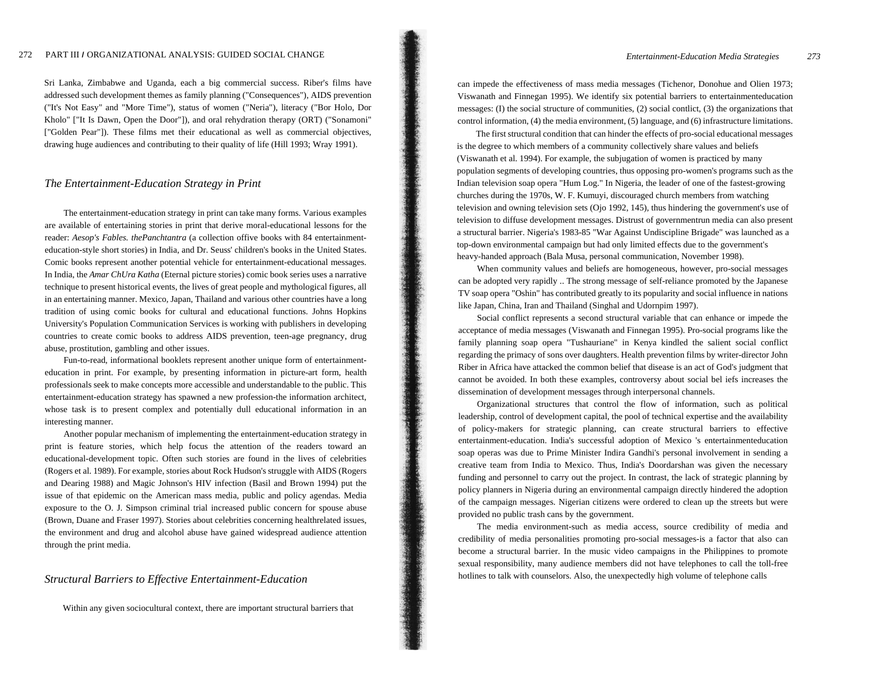#### 272 PART III *I* ORGANIZATIONAL ANALYSIS: GUIDED SOCIAL CHANGE

Sri Lanka, Zimbabwe and Uganda, each a big commercial success. Riber's films have addressed such development themes as family planning ("Consequences"), AIDS prevention ("It's Not Easy" and "More Time"), status of women ("Neria"), literacy ("Bor Holo, Dor Kholo" ["It Is Dawn, Open the Door"]), and oral rehydration therapy (ORT) ("Sonamoni" ["Golden Pear"]). These films met their educational as well as commercial objectives, drawing huge audiences and contributing to their quality of life (Hill 1993; Wray 1991).

## *The Entertainment-Education Strategy in Print*

The entertainment-education strategy in print can take many forms. Various examples are available of entertaining stories in print that derive moral-educational lessons for the reader: *Aesop's Fables. thePanchtantra* (a collection offive books with 84 entertainmenteducation-style short stories) in India, and Dr. Seuss' children's books in the United States. Comic books represent another potential vehicle for entertainment-educational messages. In India, the *Amar ChUra Katha* (Eternal picture stories) comic book series uses a narrative technique to present historical events, the lives of great people and mythological figures, all in an entertaining manner. Mexico, Japan, Thailand and various other countries have a long tradition of using comic books for cultural and educational functions. Johns Hopkins University's Population Communication Services is working with publishers in developing countries to create comic books to address AIDS prevention, teen-age pregnancy, drug abuse, prostitution, gambling and other issues.

Fun-to-read, informational booklets represent another unique form of entertainmenteducation in print. For example, by presenting information in picture-art form, health professionals seek to make concepts more accessible and understandable to the public. This entertainment-education strategy has spawned a new profession-the information architect, whose task is to present complex and potentially dull educational information in an interesting manner.

Another popular mechanism of implementing the entertainment-education strategy in print is feature stories, which help focus the attention of the readers toward an educational-development topic. Often such stories are found in the lives of celebrities (Rogers et al. 1989). For example, stories about Rock Hudson's struggle with AIDS (Rogers and Dearing 1988) and Magic Johnson's HIV infection (Basil and Brown 1994) put the issue of that epidemic on the American mass media, public and policy agendas. Media exposure to the O. J. Simpson criminal trial increased public concern for spouse abuse (Brown, Duane and Fraser 1997). Stories about celebrities concerning healthrelated issues, the environment and drug and alcohol abuse have gained widespread audience attention through the print media.

### *Structural Barriers to Effective Entertainment-Education*

Within any given sociocultural context, there are important structural barriers that

can impede the effectiveness of mass media messages (Tichenor, Donohue and Olien 1973; Viswanath and Finnegan 1995). We identify six potential barriers to entertainmenteducation messages: (I) the social structure of communities, (2) social contlict, (3) the organizations that control information, (4) the media environment, (5) language, and (6) infrastructure limitations.

The first structural condition that can hinder the effects of pro-social educational messages is the degree to which members of a community collectively share values and beliefs (Viswanath et al. 1994). For example, the subjugation of women is practiced by many population segments of developing countries, thus opposing pro-women's programs such as the Indian television soap opera "Hum Log." In Nigeria, the leader of one of the fastest-growing churches during the 1970s, W. F. Kumuyi, discouraged church members from watching television and owning television sets (Ojo 1992, 145), thus hindering the government's use of television to diffuse development messages. Distrust of governmentrun media can also present a structural barrier. Nigeria's 1983-85 "War Against Undiscipline Brigade" was launched as a top-down environmental campaign but had only limited effects due to the government's heavy-handed approach (Bala Musa, personal communication, November 1998).

When community values and beliefs are homogeneous, however, pro-social messages can be adopted very rapidly .. The strong message of self-reliance promoted by the Japanese TV soap opera "Oshin" has contributed greatly to its popularity and social influence in nations like Japan, China, Iran and Thailand (Singhal and Udornpim 1997).

Social conflict represents a second structural variable that can enhance or impede the acceptance of media messages (Viswanath and Finnegan 1995). Pro-social programs like the family planning soap opera "Tushauriane" in Kenya kindled the salient social conflict regarding the primacy of sons over daughters. Health prevention films by writer-director John Riber in Africa have attacked the common belief that disease is an act of God's judgment that cannot be avoided. In both these examples, controversy about social bel iefs increases the dissemination of development messages through interpersonal channels.

Organizational structures that control the flow of information, such as political leadership, control of development capital, the pool of technical expertise and the availability of policy-makers for strategic planning, can create structural barriers to effective entertainment-education. India's successful adoption of Mexico 's entertainmenteducation soap operas was due to Prime Minister Indira Gandhi's personal involvement in sending a creative team from India to Mexico. Thus, India's Doordarshan was given the necessary funding and personnel to carry out the project. In contrast, the lack of strategic planning by policy planners in Nigeria during an environmental campaign directly hindered the adoption of the campaign messages. Nigerian citizens were ordered to clean up the streets but were provided no public trash cans by the government.

The media environment-such as media access, source credibility of media and credibility of media personalities promoting pro-social messages-is a factor that also can become a structural barrier. In the music video campaigns in the Philippines to promote sexual responsibility, many audience members did not have telephones to call the toll-free hotlines to talk with counselors. Also, the unexpectedly high volume of telephone calls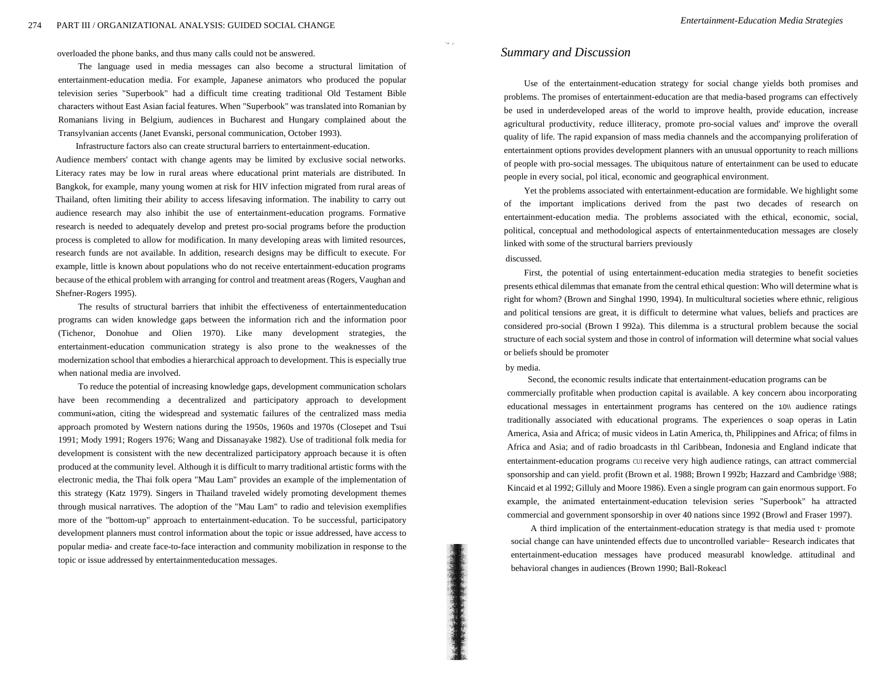overloaded the phone banks, and thus many calls could not be answered.

The language used in media messages can also become a structural limitation of entertainment-education media. For example, Japanese animators who produced the popular television series "Superbook" had a difficult time creating traditional Old Testament Bible characters without East Asian facial features. When "Superbook" was translated into Romanian by Romanians living in Belgium, audiences in Bucharest and Hungary complained about the Transylvanian accents (Janet Evanski, personal communication, October 1993).

Infrastructure factors also can create structural barriers to entertainment-education. Audience members' contact with change agents may be limited by exclusive social networks. Literacy rates may be low in rural areas where educational print materials are distributed. In Bangkok, for example, many young women at risk for HIV infection migrated from rural areas of Thailand, often limiting their ability to access lifesaving information. The inability to carry out audience research may also inhibit the use of entertainment-education programs. Formative research is needed to adequately develop and pretest pro-social programs before the production process is completed to allow for modification. In many developing areas with limited resources, research funds are not available. In addition, research designs may be difficult to execute. For example, little is known about populations who do not receive entertainment-education programs because of the ethical problem with arranging for control and treatment areas (Rogers, Vaughan and Shefner-Rogers 1995).

The results of structural barriers that inhibit the effectiveness of entertainmenteducation programs can widen knowledge gaps between the information rich and the information poor (Tichenor, Donohue and Olien 1970). Like many development strategies, the entertainment-education communication strategy is also prone to the weaknesses of the modernization school that embodies a hierarchical approach to development. This is especially true when national media are involved.

To reduce the potential of increasing knowledge gaps, development communication scholars have been recommending a decentralized and participatory approach to development communi«ation, citing the widespread and systematic failures of the centralized mass media approach promoted by Western nations during the 1950s, 1960s and 1970s (Closepet and Tsui 1991; Mody 1991; Rogers 1976; Wang and Dissanayake 1982). Use of traditional folk media for development is consistent with the new decentralized participatory approach because it is often produced at the community level. Although it is difficult to marry traditional artistic forms with the electronic media, the Thai folk opera "Mau Lam" provides an example of the implementation of this strategy (Katz 1979). Singers in Thailand traveled widely promoting development themes through musical narratives. The adoption of the "Mau Lam" to radio and television exemplifies more of the "bottom-up" approach to entertainment-education. To be successful, participatory development planners must control information about the topic or issue addressed, have access to popular media- and create face-to-face interaction and community mobilization in response to the topic or issue addressed by entertainmenteducation messages.

## *Summary and Discussion*

" •• c

Use of the entertainment-education strategy for social change yields both promises and problems. The promises of entertainment-education are that media-based programs can effectively be used in underdeveloped areas of the world to improve health, provide education, increase agricultural productivity, reduce illiteracy, promote pro-social values and' improve the overall quality of life. The rapid expansion of mass media channels and the accompanying proliferation of entertainment options provides development planners with an unusual opportunity to reach millions of people with pro-social messages. The ubiquitous nature of entertainment can be used to educate people in every social, pol itical, economic and geographical environment.

Yet the problems associated with entertainment-education are formidable. We highlight some of the important implications derived from the past two decades of research on entertainment-education media. The problems associated with the ethical, economic, social, political, conceptual and methodological aspects of entertainmenteducation messages are closely linked with some of the structural barriers previously discussed.

First, the potential of using entertainment-education media strategies to benefit societies presents ethical dilemmas that emanate from the central ethical question: Who will determine what is right for whom? (Brown and Singhal 1990, 1994). In multicultural societies where ethnic, religious and political tensions are great, it is difficult to determine what values, beliefs and practices are considered pro-social (Brown I 992a). This dilemma is a structural problem because the social structure of each social system and those in control of information will determine what social values or beliefs should be promoter

#### by media.

Second, the economic results indicate that entertainment-education programs can be commercially profitable when production capital is available. A key concern abou incorporating educational messages in entertainment programs has centered on the 10\\ audience ratings traditionally associated with educational programs. The experiences 0 soap operas in Latin America, Asia and Africa; of music videos in Latin America, th, Philippines and Africa; of films in Africa and Asia; and of radio broadcasts in thl Caribbean, Indonesia and England indicate that entertainment-education programs CUI receive very high audience ratings, can attract commercial sponsorship and can yield. profit (Brown et al. 1988; Brown I 992b; Hazzard and Cambridge \988; Kincaid et al 1992; Gilluly and Moore 1986). Even a single program can gain enormous support. Fo example, the animated entertainment-education television series "Superbook" ha attracted commercial and government sponsorship in over 40 nations since 1992 (Browl and Fraser 1997).

A third implication of the entertainment-education strategy is that media used t· promote social change can have unintended effects due to uncontrolled variable~ Research indicates that entertainment-education messages have produced measurabl knowledge. attitudinal and behavioral changes in audiences (Brown 1990; Ball-Rokeacl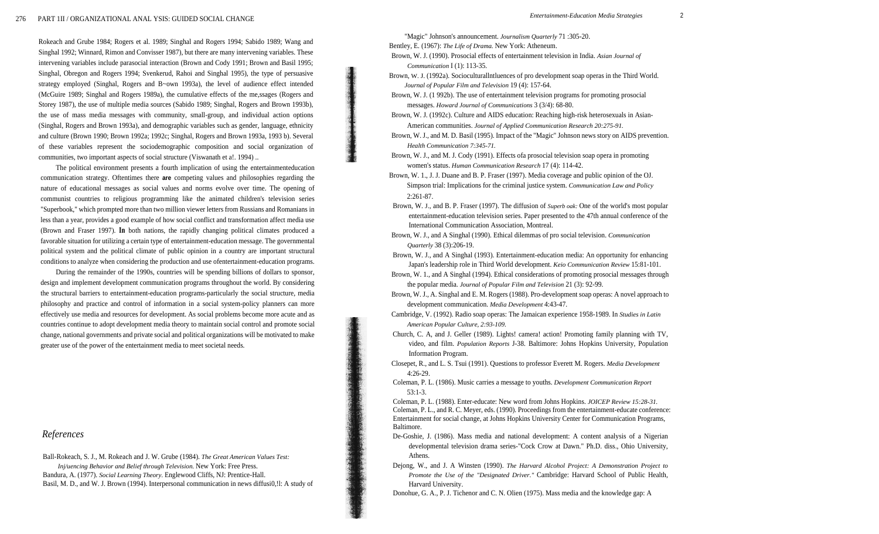Rokeach and Grube 1984; Rogers et al. 1989; Singhal and Rogers 1994; Sabido 1989; Wang and Singhal 1992; Winnard, Rimon and Convisser 1987), but there are many intervening variables. These intervening variables include parasocial interaction (Brown and Cody 1991; Brown and Basil 1995; Singhal, Obregon and Rogers 1994; Svenkerud, Rahoi and Singhal 1995), the type of persuasive strategy employed (Singhal, Rogers and B~own 1993a), the level of audience effect intended (McGuire 1989; Singhal and Rogers 1989a), the cumulative effects of the me,ssages (Rogers and Storey 1987), the use of multiple media sources (Sabido 1989; Singhal, Rogers and Brown 1993b), the use of mass media messages with community, small-group, and individual action options (Singhal, Rogers and Brown 1993a), and demographic variables such as gender, language, ethnicity and culture (Brown 1990; Brown 1992a; 1992c; Singhal, Rogers and Brown 1993a, 1993 b). Several of these variables represent the sociodemographic composition and social organization of communities, two important aspects of social structure (Viswanath et a!. 1994) ..

The political environment presents a fourth implication of using the entertainmenteducation communication strategy. Oftentimes there **are** competing values and philosophies regarding the nature of educational messages as social values and norms evolve over time. The opening of communist countries to religious programming like the animated children's television series "Superbook," which prompted more than two million viewer letters from Russians and Romanians in less than a year, provides a good example of how social conflict and transformation affect media use (Brown and Fraser 1997). **In** both nations, the rapidly changing political climates produced a favorable situation for utilizing a certain type of entertainment-education message. The governmental political system and the political climate of public opinion in a country are important structural conditions to analyze when considering the production and use ofentertainment-education programs.

During the remainder of the 1990s, countries will be spending billions of dollars to sponsor, design and implement development communication programs throughout the world. By considering the structural barriers to entertainment-education programs-particularly the social structure, media philosophy and practice and control of information in a social system-policy planners can more effectively use media and resources for development. As social problems become more acute and as countries continue to adopt development media theory to maintain social control and promote social change, national governments and private social and political organizations will be motivated to make greater use of the power of the entertainment media to meet societal needs.

# *References*

Ball-Rokeach, S. J., M. Rokeach and J. W. Grube (1984). *The Great American Values Test: Inj/uencing Behavior and Belief through Television.* New York: Free Press. Bandura, A. (1977). *Social Learning Theory.* Englewood Cliffs, NJ: Prentice-Hall. Basil, M. D., and W. J. Brown (1994). Interpersonal communication in news diffusi0,!l: A study of "Magic" Johnson's announcement. *Journalism Quarterly* 71 :305-20.

Bentley, E. (1967): *The Life of Drama.* New York: Atheneum.

- Brown, W. J. (1990). Prosocial effects of entertainment television in India. *Asian Journal of Communication* I (1): 113-35.
- Brown, W. J. (1992a). Socioculturallntluences of pro development soap operas in the Third World. *Journal of Popular Film and Television* 19 (4): 157-64.
- Brown, W. J. (1 992b). The use of entertainment television programs for promoting prosocial messages. *Howard Journal of Communications* 3 (3/4): 68-80.
- Brown, W. J. (1992c). Culture and AIDS education: Reaching high-risk heterosexuals in Asian-American communities. *Journal of Applied Communication Research 20:275-91.*
- Brown, W. J., and M. D. Basil (1995). Impact of the "Magic" Johnson news story on AIDS prevention. *Health Communication 7:345-71.*
- Brown, W. J., and M. J. Cody (1991). Effects ofa prosocial television soap opera in promoting women's status. *Human Communication Research* 17 (4): 114-42.
- Brown, W. 1., J. J. Duane and B. P. Fraser (1997). Media coverage and public opinion of the OJ. Simpson trial: Implications for the criminal justice system. *Communication Law and Policy*  2:261-87.
- Brown, W. J., and B. P. Fraser (1997). The diffusion of *Superb oak:* One of the world's most popular entertainment-education television series. Paper presented to the 47th annual conference of the International Communication Association, Montreal.
- Brown, W. J., and A Singhal (1990). Ethical dilemmas of pro social television. *Communication Quarterly* 38 (3):206-19.
- Brown, W. J., and A Singhal (1993). Entertainment-education media: An opportunity for enhancing Japan's leadership role in Third World development. *Keio Communication Review* 15:81-101.
- Brown, W. 1., and A Singhal (1994). Ethical considerations of promoting prosocial messages through the popular media. *Journal of Popular Film and Television* 21 (3): 92-99.
- Brown, W. J., A. Singhal and E. M. Rogers (1988). Pro-development soap operas: A novel approach to development communication. *Media Development* 4:43-47.
- Cambridge, V. (1992). Radio soap operas: The Jamaican experience 1958-1989. In *Studies in Latin American Popular Culture, 2:93-109.*
- Church, C. A, and J. Geller (1989). Lights! camera! action! Promoting family planning with TV, video, and film. *Population Reports* J-38. Baltimore: Johns Hopkins University, Population Information Program.
- Closepet, R., and L. S. Tsui (1991). Questions to professor Everett M. Rogers. *Media Development*  4:26-29.
- Coleman, P. L. (1986). Music carries a message to youths. *Development Communication Report*  53:1-3.
- Coleman, P. L. (1988). Enter-educate: New word from Johns Hopkins. *JOICEP Review 15:28-31.*  Coleman, P. L., and R. C. Meyer, eds. (1990). Proceedings from the entertainment-educate conference: Entertainment for social change, at Johns Hopkins University Center for Communication Programs, Baltimore.
- De-Goshie, J. (1986). Mass media and national development: A content analysis of a Nigerian developmental television drama series-"Cock Crow at Dawn." Ph.D. diss., Ohio University, Athens.
- Dejong, W., and J. A Winsten (1990). *The Harvard Alcohol Project: A Demonstration Project to Promote the Use of the "Designated Driver."* Cambridge: Harvard School of Public Health, Harvard University.
- Donohue, G. A., P. J. Tichenor and C. N. Olien (1975). Mass media and the knowledge gap: A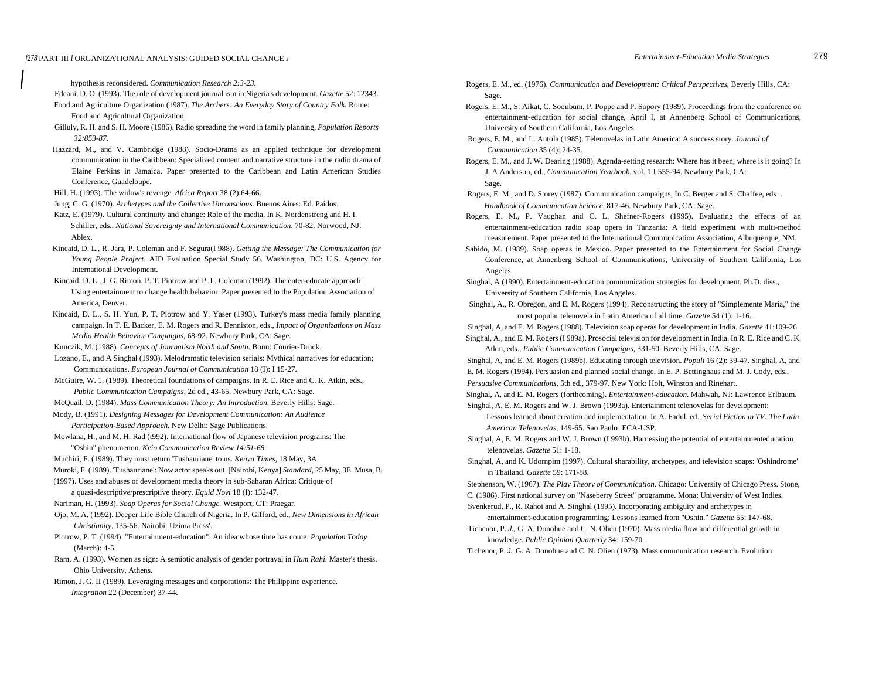*I*

hypothesis reconsidered. *Communication Research 2:3-23.* 

- Edeani, D. O. (1993). The role of development journal ism in Nigeria's development. *Gazette* 52: 12343. Food and Agriculture Organization (1987). *The Archers: An Everyday Story of Country Folk.* Rome: Food and Agricultural Organization.
- Gilluly, R. H. and S. H. Moore (1986). Radio spreading the word in family planning, *Population Reports 32:853-87.*
- Hazzard, M., and V. Cambridge (1988). Socio-Drama as an applied technique for development communication in the Caribbean: Specialized content and narrative structure in the radio drama of Elaine Perkins in Jamaica. Paper presented to the Caribbean and Latin American Studies Conference, Guadeloupe.
- Hill, H. (1993). The widow's revenge. *Africa Report* 38 (2):64-66.
- Jung, C. G. (1970). *Archetypes and the Collective Unconscious.* Buenos Aires: Ed. Paidos.
- Katz, E. (1979). Cultural continuity and change: Role of the media. In K. Nordenstreng and H. I. Schiller, eds., *National Sovereignty and International Communication,* 70-82. Norwood, NJ: Ablex.
- Kincaid, D. L., R. Jara, P. Coleman and F. Segura(I 988). *Getting the Message: The Communication for Young People Project.* AID Evaluation Special Study 56. Washington, DC: U.S. Agency for International Development.
- Kincaid, D. L., J. G. Rimon, P. T. Piotrow and P. L. Coleman (1992). The enter-educate approach: Using entertainment to change health behavior. Paper presented to the Population Association of America, Denver.
- Kincaid, D. L., S. H. Yun, P. T. Piotrow and Y. Yaser (1993). Turkey's mass media family planning campaign. In T. E. Backer, E. M. Rogers and R. Denniston, eds., *Impact of Organizations on Mass Media Health Behavior Campaigns,* 68-92. Newbury Park, CA: Sage.
- Kunczik, M. (1988). *Concepts of Journalism North and South.* Bonn: Courier-Druck.
- Lozano, E., and A Singhal (1993). Melodramatic television serials: Mythical narratives for education; Communications. *European Journal of Communication* 18 (I): I 15-27.
- McGuire, W. 1. (1989). Theoretical foundations of campaigns. In R. E. Rice and C. K. Atkin, eds., *Public Communication Campaigns,* 2d ed., 43-65. Newbury Park, CA: Sage.
- McQuail, D. (1984). *Mass Communication Theory: An Introduction.* Beverly Hills: Sage.
- Mody, B. (1991). *Designing Messages for Development Communication: An Audience Participation-Based Approach.* New Delhi: Sage Publications.
- Mowlana, H., and M. H. Rad (t992). International flow of Japanese television programs: The "Oshin" phenomenon. *Keio Communication Review 14:51-68.*
- Muchiri, F. (1989). They must return 'Tushauriane' to us. *Kenya Times,* 18 May, 3A
- Muroki, F. (1989). 'Tushauriane': Now actor speaks out. [Nairobi, Kenya] *Standard,* 25 May, 3E. Musa, B.
- (1997). Uses and abuses of development media theory in sub-Saharan Africa: Critique of
	- a quasi-descriptive/prescriptive theory. *Equid Novi* 18 (I): 132-47.
- Nariman, H. (1993). *Soap Operas for Social Change.* Westport, CT: Praegar.
- Ojo, M. A. (1992). Deeper Life Bible Church of Nigeria. In P. Gifford, ed., *New Dimensions in African Christianity,* 135-56. Nairobi: Uzima Press'.
- Piotrow, P. T. (1994). "Entertainment-education": An idea whose time has come. *Population Today*  (March): 4-5.
- Ram, A. (1993). Women as sign: A semiotic analysis of gender portrayal in *Hum Rahi.* Master's thesis. Ohio University, Athens.
- Rimon, J. G. II (1989). Leveraging messages and corporations: The Philippine experience. *Integration* 22 (December) 37-44.
- Rogers, E. M., ed. (1976). *Communication and Development: Critical Perspectives,* Beverly Hills, CA: Sage.
- Rogers, E. M., S. Aikat, C. Soonbum, P. Poppe and P. Sopory (1989). Proceedings from the conference on entertainment-education for social change, April I, at Annenberg School of Communications, University of Southern California, Los Angeles.
- Rogers, E. M., and L. Antola (1985). Telenovelas in Latin America: A success story. *Journal of Communication* 35 (4): 24-35.
- Rogers, E. M., and J. W. Dearing (1988). Agenda-setting research: Where has it been, where is it going? In J. A Anderson, cd., *Communication Yearbook.* vol. 1 J, 555-94. Newbury Park, CA: Sage.

Rogers, E. M., and D. Storey (1987). Communication campaigns, In C. Berger and S. Chaffee, eds .. *Handbook of Communication Science,* 817-46. Newbury Park, CA: Sage.

- Rogers, E. M., P. Vaughan and C. L. Shefner-Rogers (1995). Evaluating the effects of an entertainment-education radio soap opera in Tanzania: A field experiment with multi-method measurement. Paper presented to the International Communication Association, Albuquerque, NM.
- Sabido, M. (1989). Soap operas in Mexico. Paper presented to the Entertainment for Social Change Conference, at Annenberg School of Communications, University of Southern California, Los Angeles.

Singhal, A (1990). Entertainment-education communication strategies for development. Ph.D. diss., University of Southern California, Los Angeles.

- Singhal, A., R. Obregon, and E. M. Rogers (1994). Reconstructing the story of "Simplemente Maria," the most popular telenovela in Latin America of all time. *Gazette* 54 (1): 1-16.
- Singhal, A, and E. M. Rogers (1988). Television soap operas for development in India. *Gazette* 41:109-26.
- Singhal, A., and E. M. Rogers (I 989a). Prosocial television for development in India. In R. E. Rice and C. K. Atkin, eds., *Public Communication Campaigns,* 331-50. Beverly Hills, CA: Sage.
- Singhal, A, and E. M. Rogers (1989b). Educating through television. *Populi* 16 (2): 39-47. Singhal, A, and E. M. Rogers (1994). Persuasion and planned social change. In E. P. Bettinghaus and M. J. Cody, eds.,
- *Persuasive Communications,* 5th ed., 379-97. New York: Holt, Winston and Rinehart.

Singhal, A, and E. M. Rogers (forthcoming). *Entertainment-education.* Mahwah, NJ: Lawrence Erlbaum. Singhal, A, E. M. Rogers and W. J. Brown (1993a). Entertainment telenovelas for development:

- Lessons learned about creation and implementation. In A. Fadul, ed., *Serial Fiction in TV: The Latin American Telenovelas,* 149-65. Sao Paulo: ECA-USP.
- Singhal, A, E. M. Rogers and W. J. Brown (I 993b). Harnessing the potential of entertainmenteducation telenovelas. *Gazette* 51: 1-18.
- Singhal, A, and K. Udornpim (1997). Cultural sharability, archetypes, and television soaps: 'Oshindrome' in Thailand. *Gazette* 59: 171-88.
- Stephenson, W. (1967). *The Play Theory of Communication.* Chicago: University of Chicago Press. Stone,
- C. (1986). First national survey on "Naseberry Street" programme. Mona: University of West Indies.
- Svenkerud, P., R. Rahoi and A. Singhal (1995). Incorporating ambiguity and archetypes in entertainment-education programming: Lessons learned from "Oshin." *Gazette* 55: 147-68.
- Tichenor, P. *J.,* G. A. Donohue and C. N. Olien (1970). Mass media flow and differential growth in knowledge. *Public Opinion Quarterly* 34: 159-70.

Tichenor, P. *J.,* G. A. Donohue and C. N. Olien (1973). Mass communication research: Evolution